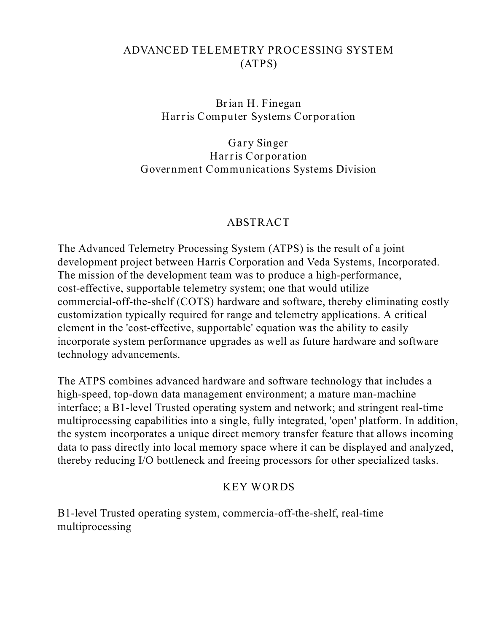# **ADVANCED TELEMETRY PROCESSING SYSTEM (ATPS)**

**Brian H. Finegan Harris Computer Systems Corporation**

**Gary Singer Harris Corporation Government Communications Systems Division**

### **ABSTRACT**

The Advanced Telemetry Processing System (ATPS) is the result of a joint development project between Harris Corporation and Veda Systems, Incorporated. The mission of the development team was to produce a high-performance, cost-effective, supportable telemetry system; one that would utilize commercial-off-the-shelf (COTS) hardware and software, thereby eliminating costly customization typically required for range and telemetry applications. A critical element in the 'cost-effective, supportable' equation was the ability to easily incorporate system performance upgrades as well as future hardware and software technology advancements.

The ATPS combines advanced hardware and software technology that includes a high-speed, top-down data management environment; a mature man-machine interface; a B1-level Trusted operating system and network; and stringent real-time multiprocessing capabilities into a single, fully integrated, 'open' platform. In addition, the system incorporates a unique direct memory transfer feature that allows incoming data to pass directly into local memory space where it can be displayed and analyzed, thereby reducing I/O bottleneck and freeing processors for other specialized tasks.

## **KEY WORDS**

B1-level Trusted operating system, commercia-off-the-shelf, real-time multiprocessing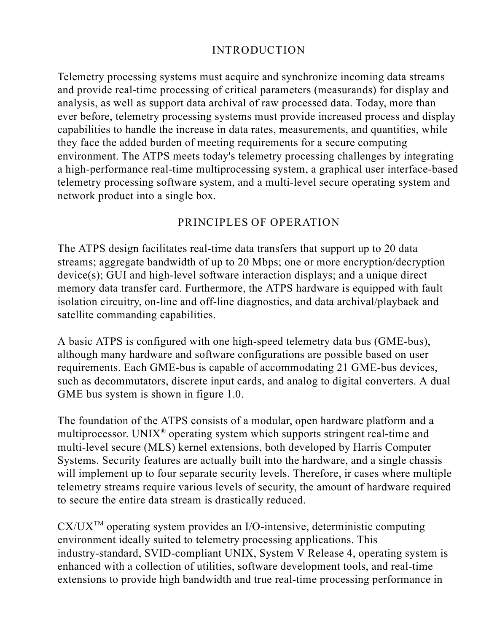# **INTRODUCTION**

Telemetry processing systems must acquire and synchronize incoming data streams and provide real-time processing of critical parameters (measurands) for display and analysis, as well as support data archival of raw processed data. Today, more than ever before, telemetry processing systems must provide increased process and display capabilities to handle the increase in data rates, measurements, and quantities, while they face the added burden of meeting requirements for a secure computing environment. The ATPS meets today's telemetry processing challenges by integrating a high-performance real-time multiprocessing system, a graphical user interface-based telemetry processing software system, and a multi-level secure operating system and network product into a single box.

## **PRINCIPLES OF OPERATION**

The ATPS design facilitates real-time data transfers that support up to 20 data streams; aggregate bandwidth of up to 20 Mbps; one or more encryption/decryption device(s); GUI and high-level software interaction displays; and a unique direct memory data transfer card. Furthermore, the ATPS hardware is equipped with fault isolation circuitry, on-line and off-line diagnostics, and data archival/playback and satellite commanding capabilities.

A basic ATPS is configured with one high-speed telemetry data bus (GME-bus), although many hardware and software configurations are possible based on user requirements. Each GME-bus is capable of accommodating 21 GME-bus devices, such as decommutators, discrete input cards, and analog to digital converters. A dual GME bus system is shown in figure 1.0.

The foundation of the ATPS consists of a modular, open hardware platform and a multiprocessor. UNIX<sup>®</sup> operating system which supports stringent real-time and multi-level secure (MLS) kernel extensions, both developed by Harris Computer Systems. Security features are actually built into the hardware, and a single chassis will implement up to four separate security levels. Therefore, ir cases where multiple telemetry streams require various levels of security, the amount of hardware required to secure the entire data stream is drastically reduced.

 $CX/UX^{TM}$  operating system provides an I/O-intensive, deterministic computing environment ideally suited to telemetry processing applications. This industry-standard, SVID-compliant UNIX, System V Release 4, operating system is enhanced with a collection of utilities, software development tools, and real-time extensions to provide high bandwidth and true real-time processing performance in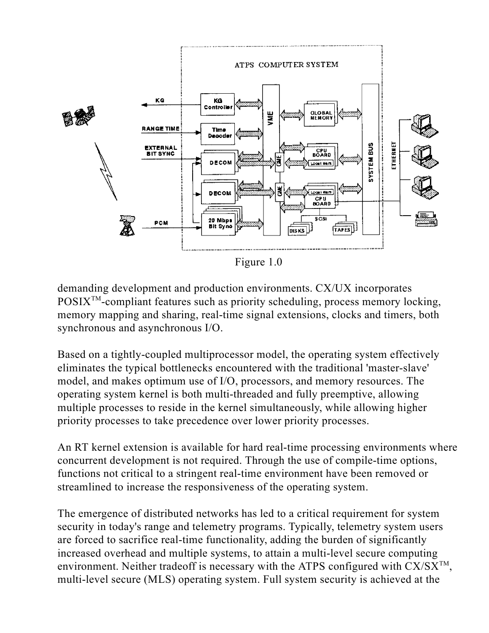

Figure 1.0

demanding development and production environments. CX/UX incorporates  $POSIX^{TM}$ -compliant features such as priority scheduling, process memory locking, memory mapping and sharing, real-time signal extensions, clocks and timers, both synchronous and asynchronous I/O.

Based on a tightly-coupled multiprocessor model, the operating system effectively eliminates the typical bottlenecks encountered with the traditional 'master-slave' model, and makes optimum use of I/O, processors, and memory resources. The operating system kernel is both multi-threaded and fully preemptive, allowing multiple processes to reside in the kernel simultaneously, while allowing higher priority processes to take precedence over lower priority processes.

An RT kernel extension is available for hard real-time processing environments where concurrent development is not required. Through the use of compile-time options, functions not critical to a stringent real-time environment have been removed or streamlined to increase the responsiveness of the operating system.

The emergence of distributed networks has led to a critical requirement for system security in today's range and telemetry programs. Typically, telemetry system users are forced to sacrifice real-time functionality, adding the burden of significantly increased overhead and multiple systems, to attain a multi-level secure computing environment. Neither tradeoff is necessary with the ATPS configured with  $CX/SX^{TM}$ , multi-level secure (MLS) operating system. Full system security is achieved at the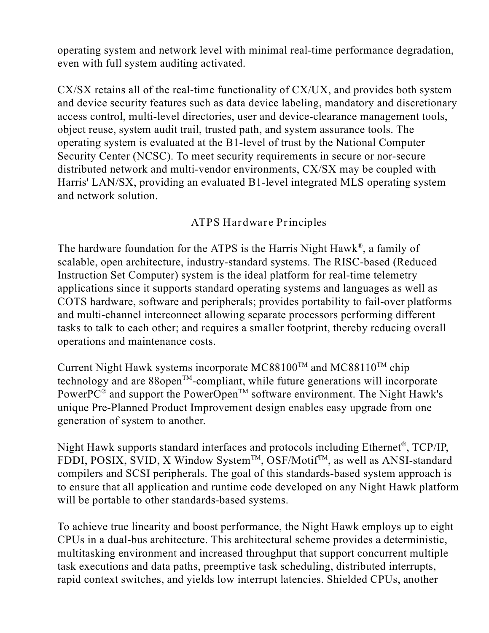operating system and network level with minimal real-time performance degradation, even with full system auditing activated.

CX/SX retains all of the real-time functionality of CX/UX, and provides both system and device security features such as data device labeling, mandatory and discretionary access control, multi-level directories, user and device-clearance management tools, object reuse, system audit trail, trusted path, and system assurance tools. The operating system is evaluated at the B1-level of trust by the National Computer Security Center (NCSC). To meet security requirements in secure or nor-secure distributed network and multi-vendor environments, CX/SX may be coupled with Harris' LAN/SX, providing an evaluated B1-level integrated MLS operating system and network solution.

## **ATPS Hardware Principles**

The hardware foundation for the ATPS is the Harris Night Hawk®, a family of scalable, open architecture, industry-standard systems. The RISC-based (Reduced Instruction Set Computer) system is the ideal platform for real-time telemetry applications since it supports standard operating systems and languages as well as COTS hardware, software and peripherals; provides portability to fail-over platforms and multi-channel interconnect allowing separate processors performing different tasks to talk to each other; and requires a smaller footprint, thereby reducing overall operations and maintenance costs.

Current Night Hawk systems incorporate  $MC88100^{TM}$  and  $MC88110^{TM}$  chip technology and are  $88$  open<sup>TM</sup>-compliant, while future generations will incorporate PowerPC<sup>®</sup> and support the PowerOpen<sup>TM</sup> software environment. The Night Hawk's unique Pre-Planned Product Improvement design enables easy upgrade from one generation of system to another.

Night Hawk supports standard interfaces and protocols including Ethernet®, TCP/IP, FDDI, POSIX, SVID, X Window System<sup>TM</sup>, OSF/Motif<sup>TM</sup>, as well as ANSI-standard compilers and SCSI peripherals. The goal of this standards-based system approach is to ensure that all application and runtime code developed on any Night Hawk platform will be portable to other standards-based systems.

To achieve true linearity and boost performance, the Night Hawk employs up to eight CPUs in a dual-bus architecture. This architectural scheme provides a deterministic, multitasking environment and increased throughput that support concurrent multiple task executions and data paths, preemptive task scheduling, distributed interrupts, rapid context switches, and yields low interrupt latencies. Shielded CPUs, another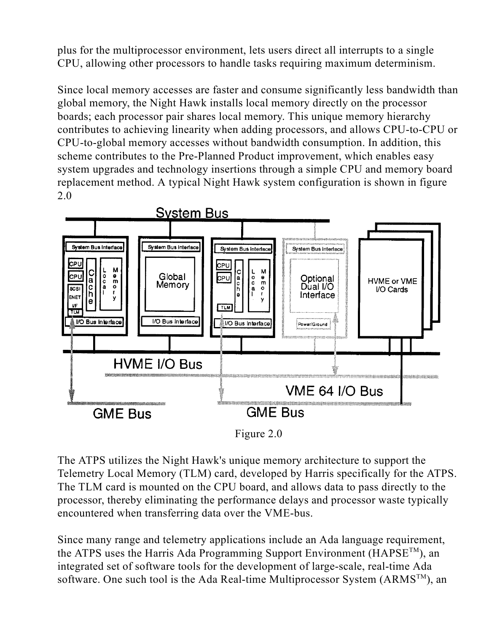plus for the multiprocessor environment, lets users direct all interrupts to a single CPU, allowing other processors to handle tasks requiring maximum determinism.

Since local memory accesses are faster and consume significantly less bandwidth than global memory, the Night Hawk installs local memory directly on the processor boards; each processor pair shares local memory. This unique memory hierarchy contributes to achieving linearity when adding processors, and allows CPU-to-CPU or CPU-to-global memory accesses without bandwidth consumption. In addition, this scheme contributes to the Pre-Planned Product improvement, which enables easy system upgrades and technology insertions through a simple CPU and memory board replacement method. A typical Night Hawk system configuration is shown in figure 2.0





The ATPS utilizes the Night Hawk's unique memory architecture to support the Telemetry Local Memory (TLM) card, developed by Harris specifically for the ATPS. The TLM card is mounted on the CPU board, and allows data to pass directly to the processor, thereby eliminating the performance delays and processor waste typically encountered when transferring data over the VME-bus.

Since many range and telemetry applications include an Ada language requirement, the ATPS uses the Harris Ada Programming Support Environment (HAPSE<sup>TM</sup>), an integrated set of software tools for the development of large-scale, real-time Ada software. One such tool is the Ada Real-time Multiprocessor System (ARMS<sup>TM</sup>), an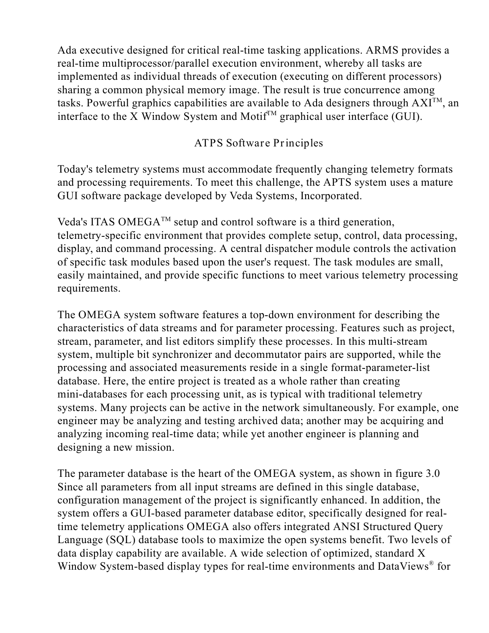Ada executive designed for critical real-time tasking applications. ARMS provides a real-time multiprocessor/parallel execution environment, whereby all tasks are implemented as individual threads of execution (executing on different processors) sharing a common physical memory image. The result is true concurrence among tasks. Powerful graphics capabilities are available to Ada designers through  $AXI^{TM}$ , an interface to the X Window System and Motif $^{TM}$  graphical user interface (GUI).

## **ATPS Software Principles**

Today's telemetry systems must accommodate frequently changing telemetry formats and processing requirements. To meet this challenge, the APTS system uses a mature GUI software package developed by Veda Systems, Incorporated.

Veda's ITAS OMEGA<sup>TM</sup> setup and control software is a third generation, telemetry-specific environment that provides complete setup, control, data processing, display, and command processing. A central dispatcher module controls the activation of specific task modules based upon the user's request. The task modules are small, easily maintained, and provide specific functions to meet various telemetry processing requirements.

The OMEGA system software features a top-down environment for describing the characteristics of data streams and for parameter processing. Features such as project, stream, parameter, and list editors simplify these processes. In this multi-stream system, multiple bit synchronizer and decommutator pairs are supported, while the processing and associated measurements reside in a single format-parameter-list database. Here, the entire project is treated as a whole rather than creating mini-databases for each processing unit, as is typical with traditional telemetry systems. Many projects can be active in the network simultaneously. For example, one engineer may be analyzing and testing archived data; another may be acquiring and analyzing incoming real-time data; while yet another engineer is planning and designing a new mission.

The parameter database is the heart of the OMEGA system, as shown in figure 3.0 Since all parameters from all input streams are defined in this single database, configuration management of the project is significantly enhanced. In addition, the system offers a GUI-based parameter database editor, specifically designed for realtime telemetry applications OMEGA also offers integrated ANSI Structured Query Language (SQL) database tools to maximize the open systems benefit. Two levels of data display capability are available. A wide selection of optimized, standard X Window System-based display types for real-time environments and DataViews® for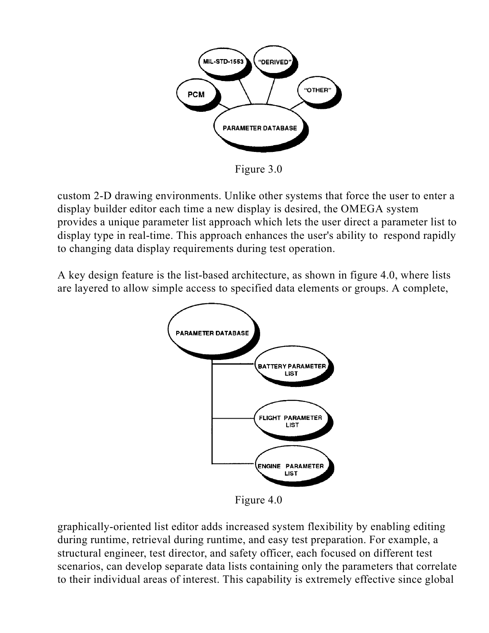

Figure 3.0

custom 2-D drawing environments. Unlike other systems that force the user to enter a display builder editor each time a new display is desired, the OMEGA system provides a unique parameter list approach which lets the user direct a parameter list to display type in real-time. This approach enhances the user's ability to respond rapidly to changing data display requirements during test operation.

A key design feature is the list-based architecture, as shown in figure 4.0, where lists are layered to allow simple access to specified data elements or groups. A complete,



Figure 4.0

graphically-oriented list editor adds increased system flexibility by enabling editing during runtime, retrieval during runtime, and easy test preparation. For example, a structural engineer, test director, and safety officer, each focused on different test scenarios, can develop separate data lists containing only the parameters that correlate to their individual areas of interest. This capability is extremely effective since global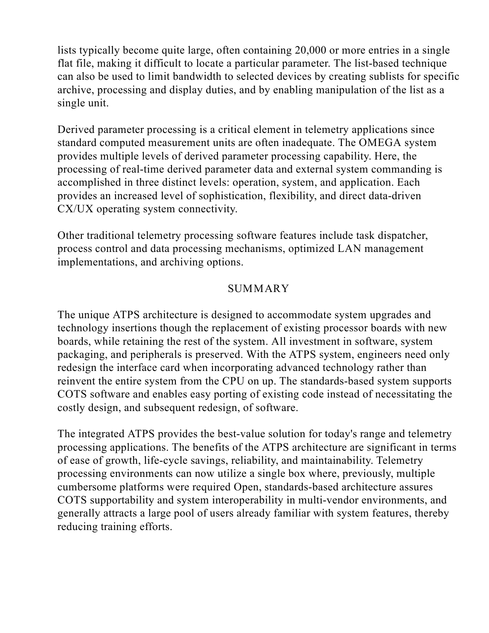lists typically become quite large, often containing 20,000 or more entries in a single flat file, making it difficult to locate a particular parameter. The list-based technique can also be used to limit bandwidth to selected devices by creating sublists for specific archive, processing and display duties, and by enabling manipulation of the list as a single unit.

Derived parameter processing is a critical element in telemetry applications since standard computed measurement units are often inadequate. The OMEGA system provides multiple levels of derived parameter processing capability. Here, the processing of real-time derived parameter data and external system commanding is accomplished in three distinct levels: operation, system, and application. Each provides an increased level of sophistication, flexibility, and direct data-driven CX/UX operating system connectivity.

Other traditional telemetry processing software features include task dispatcher, process control and data processing mechanisms, optimized LAN management implementations, and archiving options.

### **SUMMARY**

The unique ATPS architecture is designed to accommodate system upgrades and technology insertions though the replacement of existing processor boards with new boards, while retaining the rest of the system. All investment in software, system packaging, and peripherals is preserved. With the ATPS system, engineers need only redesign the interface card when incorporating advanced technology rather than reinvent the entire system from the CPU on up. The standards-based system supports COTS software and enables easy porting of existing code instead of necessitating the costly design, and subsequent redesign, of software.

The integrated ATPS provides the best-value solution for today's range and telemetry processing applications. The benefits of the ATPS architecture are significant in terms of ease of growth, life-cycle savings, reliability, and maintainability. Telemetry processing environments can now utilize a single box where, previously, multiple cumbersome platforms were required Open, standards-based architecture assures COTS supportability and system interoperability in multi-vendor environments, and generally attracts a large pool of users already familiar with system features, thereby reducing training efforts.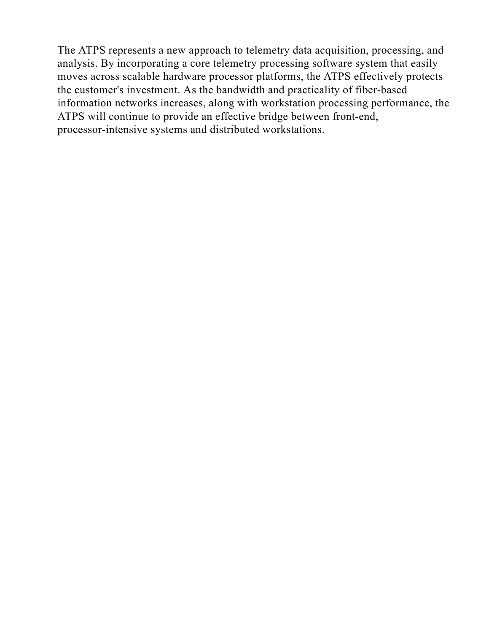The ATPS represents a new approach to telemetry data acquisition, processing, and analysis. By incorporating a core telemetry processing software system that easily moves across scalable hardware processor platforms, the ATPS effectively protects the customer's investment. As the bandwidth and practicality of fiber-based information networks increases, along with workstation processing performance, the ATPS will continue to provide an effective bridge between front-end, processor-intensive systems and distributed workstations.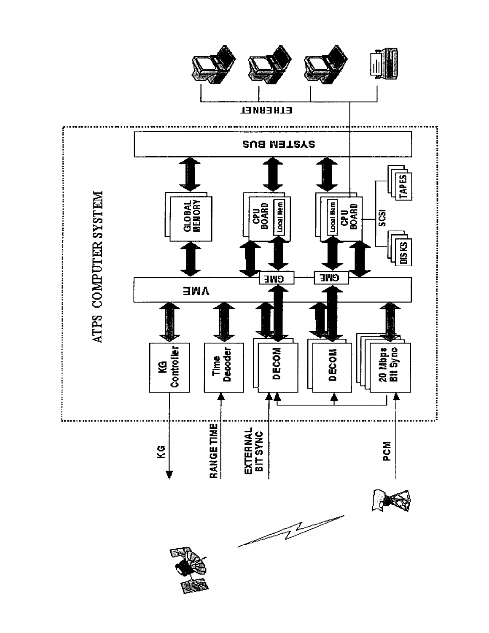